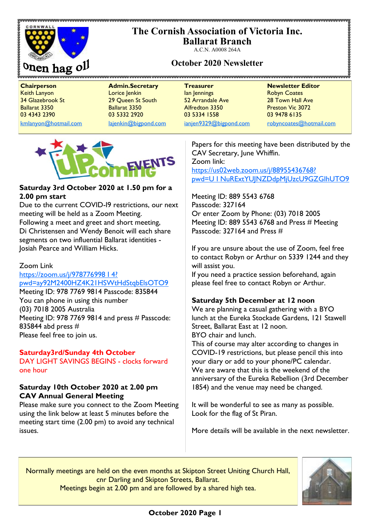# **The Cornish Association of Victoria Inc.**



**Ballarat Branch** A.C.N. A0008 264A

# **October 2020 Newsletter**

**Chairperson Admin.Secretary Treasurer Newsletter Editor** Keith Lanyon Lorice Jenkin Ian Jennings Robyn Coates 34 Glazebrook St 29 Queen St South 52 Arrandale Ave 28 Town Hall Ave Ballarat 3350 Ballarat 3350 Alfredton 3350 Preston Vic 3072 03 4343 2390 03 5332 2920 03 5334 1558 03 9478 6135

[kmlanyon@hotmail.com](mailto:kmlanyon@hotmail.com) [lajenkin@bigpond.com](mailto:lajenkin@bigpond.com) [ianjen9329@bigpond.com](mailto:ianjen9329@bigpond.com) [robyncoates@hotmail.com](mailto:robynjcoates@iinet.net.au)



# **Saturday 3rd October 2020 at 1.50 pm for a 2.00 pm start**

Due to the current COVID-I9 restrictions, our next meeting will be held as a Zoom Meeting. Following a meet and greet and short meeting, Di Christensen and Wendy Benoit will each share segments on two influential Ballarat identities - Josiah Pearce and William Hicks.

# Zoom Link

# [https://zoom.us/j/978776998 I 4?](https://zoom.us/j/978776998%20I%204?) [pwd=ay92M2400HZ4K21HSWtHdStqbElsOTO9](https://zoom.us/j/978776998%20I%204?)

Meeting ID: 978 7769 9814 Passcode: 835844 You can phone in using this number (03) 7018 2005 Australia Meeting ID: 978 7769 9814 and press # Passcode: 835844 abd press # Please feel free to join us.

# **Saturday3rd/Sunday 4th October**

DAY LIGHT SAVINGS BEGINS - clocks forward one hour

# **Saturday 10th October 2020 at 2.00 pm CAV Annual General Meeting**

Please make sure you connect to the Zoom Meeting using the link below at least 5 minutes before the meeting start time (2.00 pm) to avoid any technical issues.

Papers for this meeting have been distributed by the CAV Secretary, June Whiffin. Zoom link: <https://us02web.zoom.us/j/88955436768?> [pwd=U I NuRExtYUJNZDdpMjUzcU9GZGIhUTO9](https://us02web.zoom.us/j/88955436768?)

Meeting ID: 889 5543 6768 Passcode: 327164 Or enter Zoom by Phone: (03) 7018 2005 Meeting ID: 889 5543 6768 and Press # Meeting Passcode: 327164 and Press #

If you are unsure about the use of Zoom, feel free to contact Robyn or Arthur on 5339 1244 and they will assist you.

If you need a practice session beforehand, again please feel free to contact Robyn or Arthur.

# **Saturday 5th December at 12 noon**

We are planning a casual gathering with a BYO lunch at the Eureka Stockade Gardens, 121 Stawell Street, Ballarat East at 12 noon. BYO chair and lunch.

This of course may alter according to changes in COVID-19 restrictions, but please pencil this into your diary or add to your phone/PC calendar. We are aware that this is the weekend of the anniversary of the Eureka Rebellion (3rd December 1854) and the venue may need be changed.

It will be wonderful to see as many as possible. Look for the flag of St Piran.

More details will be available in the next newsletter.

Normally meetings are held on the even months at Skipton Street Uniting Church Hall, cnr Darling and Skipton Streets, Ballarat. Meetings begin at 2.00 pm and are followed by a shared high tea.

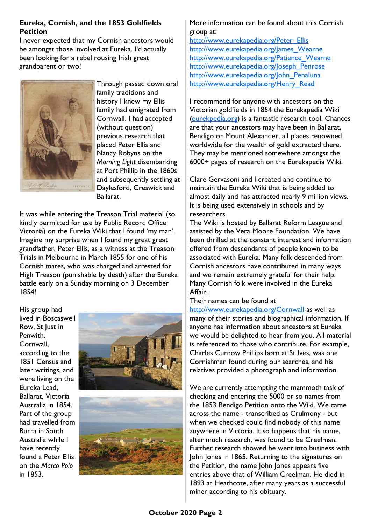# **Eureka, Cornish, and the 1853 Goldfields Petition**

I never expected that my Cornish ancestors would be amongst those involved at Eureka. I'd actually been looking for a rebel rousing Irish great grandparent or two!



Through passed down oral family traditions and history I knew my Ellis family had emigrated from Cornwall. I had accepted (without question) previous research that placed Peter Ellis and Nancy Robyns on the *Morning Light* disembarking at Port Phillip in the 1860s and subsequently settling at Daylesford, Creswick and Ballarat.

It was while entering the Treason Trial material (so kindly permitted for use by Public Record Office Victoria) on the Eureka Wiki that I found 'my man'. Imagine my surprise when I found my great great grandfather, Peter Ellis, as a witness at the Treason Trials in Melbourne in March 1855 for one of his Cornish mates, who was charged and arrested for High Treason (punishable by death) after the Eureka battle early on a Sunday morning on 3 December 1854!

His group had lived in Boscaswell Row, St Just in Penwith, Cornwall, according to the 1851 Census and later writings, and were living on the Eureka Lead, Ballarat, Victoria Australia in 1854. Part of the group had travelled from Burra in South Australia while I have recently found a Peter Ellis on the *Marco Polo* in 1853.





# More information can be found about this Cornish group at:

[http://www.eurekapedia.org/Peter\\_Ellis](http://www.eurekapedia.org/Peter_Ellis) [http://www.eurekapedia.org/James\\_Wearne](http://www.eurekapedia.org/James_Wearne) [http://www.eurekapedia.org/Patience\\_Wearne](http://www.eurekapedia.org/Patience_Wearne) [http://www.eurekapedia.org/Joseph\\_Penrose](http://www.eurekapedia.org/Joseph_Penrose) http://www.eurekapedia.org/John Penaluna [http://www.eurekapedia.org/Henry\\_Read](http://www.eurekapedia.org/Henry_Read)

I recommend for anyone with ancestors on the Victorian goldfields in 1854 the Eurekapedia Wiki [\(eurekpedia.org\)](http://eurekpedia.org) is a fantastic research tool. Chances are that your ancestors may have been in Ballarat, Bendigo or Mount Alexander, all places renowned worldwide for the wealth of gold extracted there. They may be mentioned somewhere amongst the 6000+ pages of research on the Eurekapedia Wiki.

Clare Gervasoni and I created and continue to maintain the Eureka Wiki that is being added to almost daily and has attracted nearly 9 million views. It is being used extensively in schools and by researchers.

The Wiki is hosted by Ballarat Reform League and assisted by the Vera Moore Foundation. We have been thrilled at the constant interest and information offered from descendants of people known to be associated with Eureka. Many folk descended from Cornish ancestors have contributed in many ways and we remain extremely grateful for their help. Many Cornish folk were involved in the Eureka Affair.

#### Their names can be found at

<http://www.eurekapedia.org/Cornwall> as well as many of their stories and biographical information. If anyone has information about ancestors at Eureka we would be delighted to hear from you. All material is referenced to those who contribute. For example, Charles Curnow Phillips born at St Ives, was one Cornishman found during our searches, and his relatives provided a photograph and information.

We are currently attempting the mammoth task of checking and entering the 5000 or so names from the 1853 Bendigo Petition onto the Wiki. We came across the name - transcribed as Crulmony - but when we checked could find nobody of this name anywhere in Victoria. It so happens that his name, after much research, was found to be Creelman. Further research showed he went into business with John Jones in 1865. Returning to the signatures on the Petition, the name John Jones appears five entries above that of William Creelman. He died in 1893 at Heathcote, after many years as a successful miner according to his obituary.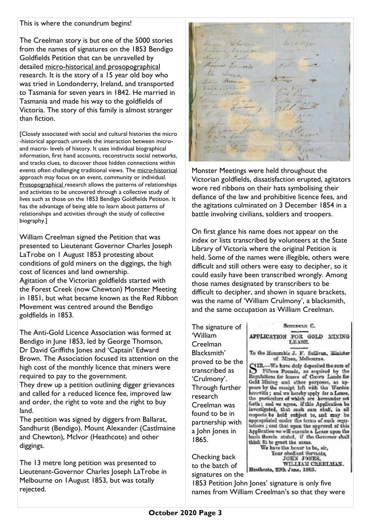# This is where the conundrum begins!

The Creelman story is but one of the 5000 stories from the names of signatures on the 1853 Bendigo Goldfields Petition that can be unravelled by detailed micro-historical and prosopographical research. It is the story of a 15 year old boy who was tried in Londonderry, Ireland, and transported to Tasmania for seven years in 1842. He married in Tasmania and made his way to the goldfields of Victoria. The story of this family is almost stranger than fiction.

[Closely associated with social and cultural histories the micro -historical approach unravels the interaction between microand macro- levels of history. It uses individual biographical information, first hand accounts, reconstructs social networks, and tracks clues, to discover those hidden connections within events often challenging traditional views. The micro-historical approach may focus on an event, community or individual. Prosopographical research allows the patterns of relationships and activities to be uncovered through a collective study of lives such as those on the 1853 Bendigo Goldfields Petition. It has the advantage of being able to learn about patterns of relationships and activities through the study of collective biography.]

William Creelman signed the Petition that was presented to Lieutenant Governor Charles Joseph LaTrobe on 1 August 1853 protesting about conditions of gold miners on the diggings, the high cost of licences and land ownership. Agitation of the Victorian goldfields started with the Forest Creek (now Chewton) Monster Meeting in 1851, but what became known as the Red Ribbon Movement was centred around the Bendigo goldfields in 1853.

The Anti-Gold Licence Association was formed at Bendigo in June 1853, led by George Thomson, Dr David Griffiths Jones and 'Captain' Edward Brown. The Association focused its attention on the high cost of the monthly licence that miners were required to pay to the government.

They drew up a petition outlining digger grievances and called for a reduced licence fee, improved law and order, the right to vote and the right to buy land.

The petition was signed by diggers from Ballarat, Sandhurst (Bendigo), Mount Alexander (Castlmaine and Chewton), McIvor (Heathcote) and other diggings.

The 13 metre long petition was presented to Lieutenant-Governor Charles Joseph LaTrobe in Melbourne on 1August 1853, but was totally rejected.

4 veupal Shown Whiton Er la sign Richard Launder Henry I Fisher Armens Edwards aldin Jones John Brown were bijg. paint Tradent John Alstend ld & Samuel Road 19/ les brulmon ter norton. Benjamin Robert R Service J'aime action

Monster Meetings were held throughout the Victorian goldfields, dissatisfaction erupted, agitators wore red ribbons on their hats symbolising their defiance of the law and prohibitive licence fees, and the agitations culminated on 3 December 1854 in a battle involving civilians, soldiers and troopers.

On first glance his name does not appear on the index or lists transcribed by volunteers at the State Library of Victoria where the original Petition is held. Some of the names were illegible, others were difficult and still others were easy to decipher, so it could easily have been transcribed wrongly. Among those names designated by transcribers to be difficult to decipher, and shown in square brackets, was the name of 'William Crulmony', a blacksmith, and the same occupation as William Creelman.

The signature of 'William Creelman Blacksmith' proved to be the transcribed as 'Crulmony'. Through further research Creelman was found to be in partnership with a John Jones in 1865.

Gold Mining and other purposes, as appears by the receipt left with the Warden herewith; and we hereby apply for a Lease, the particulars of which are herewarder set forth; and we agree, if this Application be<br>investigated, that such sum shall, in all<br>respects be held subject to, and may be suppropriated under the terms of such regulations; and that upon the approval of this Application we will oxecute a Lease upon the basis therein stated, if the Governor shall think fit to grant the same. We have the honor to be, sir, Your obedient Servants, JOHN JONES.

SCIENCLE C.

APPLICATION FOR GOLD MINING

To the Honorable J. F. Sullivan, Minister of Mines, Melbonrae.

SIR,---We have duly deposited the sum of<br>Fifteen Pounds, as required by the<br>Regulations for leases of Coovn Lands for

Checking back to the batch of signatures on the

WILLIAM CREELMAN. Heathcote, 29th June, 1865.

1853 Petition John Jones' signature is only five names from William Creelman's so that they were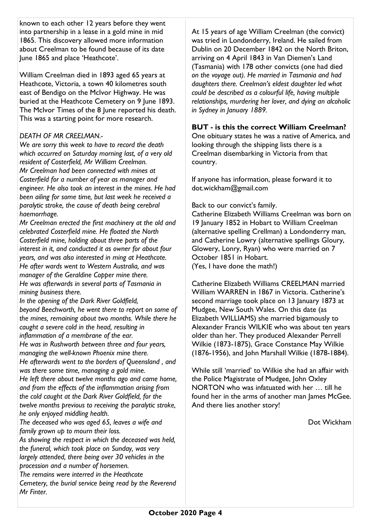known to each other 12 years before they went into partnership in a lease in a gold mine in mid 1865. This discovery allowed more information about Creelman to be found because of its date June 1865 and place 'Heathcote'.

William Creelman died in 1893 aged 65 years at Heathcote, Victoria, a town 40 kilometres south east of Bendigo on the McIvor Highway. He was buried at the Heathcote Cemetery on 9 June 1893. The McIvor Times of the 8 June reported his death. This was a starting point for more research.

# *DEATH OF MR CREELMAN.-*

*We are sorry this week to have to record the death which occurred on Saturday morning last, of a very old resident of Costerfield, Mr William Creelman. Mr Creelman had been connected with mines at Costerfield for a number of year as manager and engineer. He also took an interest in the mines. He had been ailing for some time, but last week he received a paralytic stroke, the cause of death being cerebral haemorrhage.* 

*Mr Creelman erected the first machinery at the old and celebrated Costerfield mine. He floated the North Costerfield mine, holding about three parts of the interest in it, and conducted it as owner for about four years, and was also interested in ming at Heathcote. He after wards went to Western Australia, and was manager of the Geraldine Copper mine there. He was afterwards in several parts of Tasmania in mining business there.* 

*In the opening of the Dark River Goldfield, beyond Beechworth, he went there to report on some of the mines, remaining about two months. While there he caught a severe cold in the head, resulting in inflammation of a membrane of the ear. He was in Rushworth between three and four years, managing the well-known Phoenix mine there. He afterwards went to the borders of Queensland , and was there some time, managing a gold mine. He left there about twelve months ago and came home, and from the effects of the inflammation arising from the cold caught at the Dark River Goldfield, for the twelve months previous to receiving the paralytic stroke, he only enjoyed middling health.* 

*The deceased who was aged 65, leaves a wife and family grown up to mourn their loss.* 

*As showing the respect in which the deceased was held, the funeral, which took place on Sunday, was very largely attended, there being over 30 vehicles in the procession and a number of horsemen. The remains were interred in the Heathcote* 

*Cemetery, the burial service being read by the Reverend Mr Finter.*

At 15 years of age William Creelman (the convict) was tried in Londonderry, Ireland. He sailed from Dublin on 20 December 1842 on the North Briton, arriving on 4 April 1843 in Van Diemen's Land (Tasmania) with 178 other convicts (one had died *on the voyage out). He married in Tasmania and had daughters there. Creelman's eldest daughter led what could be described as a colourful life, having multiple relationships, murdering her lover, and dying an alcoholic in Sydney in January 1889.*

# **BUT - is this the correct William Creelman?**

One obituary states he was a native of America, and looking through the shipping lists there is a Creelman disembarking in Victoria from that country.

If anyone has information, please forward it to dot.wickham@gmail.com

Back to our convict's family.

Catherine Elizabeth Williams Creelman was born on 19 January 1852 in Hobart to William Creelman (alternative spelling Crellman) a Londonderry man, and Catherine Lowry (alternative spellings Gloury, Glowery, Lonry, Ryan) who were married on 7 October 1851 in Hobart.

(Yes, I have done the math!)

Catherine Elizabeth Williams CREELMAN married William WARREN in 1867 in Victoria. Catherine's second marriage took place on 13 January 1873 at Mudgee, New South Wales. On this date (as Elizabeth WILLIAMS) she married bigamously to Alexander Francis WILKIE who was about ten years older than her. They produced Alexander Perrell Wilkie (1873-1875), Grace Constance May Wilkie (1876-1956), and John Marshall Wilkie (1878-1884).

While still 'married' to Wilkie she had an affair with the Police Magistrate of Mudgee, John Oxley NORTON who was infatuated with her … till he found her in the arms of another man James McGee. And there lies another story!

Dot Wickham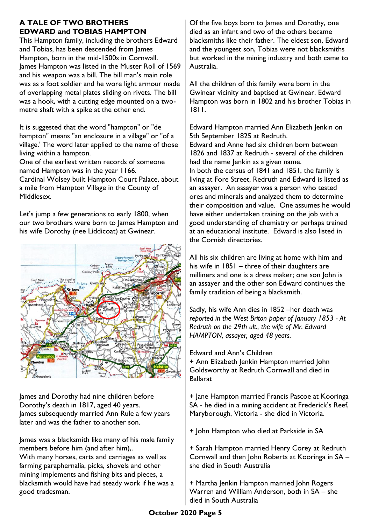# **A TALE OF TWO BROTHERS EDWARD and TOBIAS HAMPTON**

This Hampton family, including the brothers Edward and Tobias, has been descended from James Hampton, born in the mid-1500s in Cornwall. James Hampton was listed in the Muster Roll of 1569 and his weapon was a bill. The bill man's main role was as a foot soldier and he wore light armour made of overlapping metal plates sliding on rivets. The bill was a hook, with a cutting edge mounted on a twometre shaft with a spike at the other end.

It is suggested that the word "hampton" or "de hampton" means "an enclosure in a village" or "of a village.' The word later applied to the name of those living within a hampton.

One of the earliest written records of someone named Hampton was in the year 1166.

Cardinal Wolsey built Hampton Court Palace, about a mile from Hampton Village in the County of Middlesex.

Let's jump a few generations to early 1800, when our two brothers were born to James Hampton and his wife Dorothy (nee Liddicoat) at Gwinear.



James and Dorothy had nine children before Dorothy's death in 1817, aged 40 years. James subsequently married Ann Rule a few years later and was the father to another son.

James was a blacksmith like many of his male family members before him (and after him),.

With many horses, carts and carriages as well as farming paraphernalia, picks, shovels and other mining implements and fishing bits and pieces, a blacksmith would have had steady work if he was a good tradesman.

Of the five boys born to James and Dorothy, one died as an infant and two of the others became blacksmiths like their father. The eldest son, Edward and the youngest son, Tobias were not blacksmiths but worked in the mining industry and both came to Australia.

All the children of this family were born in the Gwinear vicinity and baptised at Gwinear. Edward Hampton was born in 1802 and his brother Tobias in 1811.

Edward Hampton married Ann Elizabeth Jenkin on 5th September 1825 at Redruth. Edward and Anne had six children born between 1826 and 1837 at Redruth - several of the children had the name Jenkin as a given name. In both the census of 1841 and 1851, the family is living at Fore Street, Redruth and Edward is listed as an assayer. An assayer was a person who tested ores and minerals and analyzed them to determine their composition and value. One assumes he would have either undertaken training on the job with a good understanding of chemistry or perhaps trained at an educational institute. Edward is also listed in the Cornish directories.

All his six children are living at home with him and his wife in 1851 – three of their daughters are milliners and one is a dress maker; one son John is an assayer and the other son Edward continues the family tradition of being a blacksmith.

Sadly, his wife Ann dies in 1852 –her death was *reported in the West Briton paper of January 1853 - At Redruth on the 29th ult., the wife of Mr. Edward HAMPTON, assayer, aged 48 years.* 

# Edward and Ann's Children

+ Ann Elizabeth Jenkin Hampton married John Goldsworthy at Redruth Cornwall and died in Ballarat

+ Jane Hampton married Francis Pascoe at Kooringa SA - he died in a mining accident at Frederick's Reef, Maryborough, Victoria - she died in Victoria.

+ John Hampton who died at Parkside in SA

+ Sarah Hampton married Henry Corey at Redruth Cornwall and then John Roberts at Kooringa in SA – she died in South Australia

+ Martha Jenkin Hampton married John Rogers Warren and William Anderson, both in SA – she died in South Australia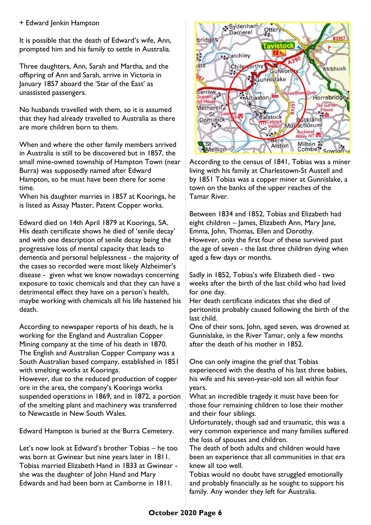# + Edward Jenkin Hampton

It is possible that the death of Edward's wife, Ann, prompted him and his family to settle in Australia.

Three daughters, Ann, Sarah and Martha, and the offspring of Ann and Sarah, arrive in Victoria in January 1857 aboard the 'Star of the East' as unassisted passengers.

No husbands travelled with them, so it is assumed that they had already travelled to Australia as there are more children born to them.

When and where the other family members arrived in Australia is still to be discovered but in 1857, the small mine-owned township of Hampton Town (near Burra) was supposedly named after Edward Hampton, so he must have been there for some time.

When his daughter marries in 1857 at Kooringa, he is listed as Assay Master, Patent Copper works.

Edward died on 14th April 1879 at Kooringa, SA. His death certificate shows he died of 'senile decay' and with one description of senile decay being the progressive loss of mental capacity that leads to dementia and personal helplessness - the majority of the cases so recorded were most likely Alzheimer's disease - given what we know nowadays concerning exposure to toxic chemicals and that they can have a detrimental effect they have on a person's health, maybe working with chemicals all his life hastened his death.

According to newspaper reports of his death, he is working for the England and Australian Copper Mining company at the time of his death in 1870. The English and Australian Copper Company was a South Australian based company, established in 1851 with smelting works at Kooringa. However, due to the reduced production of copper ore in the area, the company's Kooringa works suspended operations in 1869, and in 1872, a portion of the smelting plant and machinery was transferred to Newcastle in New South Wales.

Edward Hampton is buried at the Burra Cemetery.

Let's now look at Edward's brother Tobias – he too was born at Gwinear but nine years later in 1811. Tobias married Elizabeth Hand in 1833 at Gwinear she was the daughter of John Hand and Mary Edwards and had been born at Camborne in 1811.



According to the census of 1841, Tobias was a miner living with his family at Charlestown-St Austell and by 1851 Tobias was a copper miner at Gunnislake, a town on the banks of the upper reaches of the Tamar River.

Between 1834 and 1852, Tobias and Elizabeth had eight children – James, Elizabeth Ann, Mary Jane, Emma, John, Thomas, Ellen and Dorothy. However, only the first four of these survived past the age of seven - the last three children dying when aged a few days or months.

Sadly in 1852, Tobias's wife Elizabeth died - two weeks after the birth of the last child who had lived for one day.

Her death certificate indicates that she died of peritonitis probably caused following the birth of the last child.

One of their sons, John, aged seven, was drowned at Gunnislake, in the River Tamar, only a few months after the death of his mother in 1852.

One can only imagine the grief that Tobias experienced with the deaths of his last three babies, his wife and his seven-year-old son all within four years.

What an incredible tragedy it must have been for those four remaining children to lose their mother and their four siblings.

Unfortunately, though sad and traumatic, this was a very common experience and many families suffered the loss of spouses and children.

The death of both adults and children would have been an experience that all communities in that era knew all too well.

Tobias would no doubt have struggled emotionally and probably financially as he sought to support his family. Any wonder they left for Australia.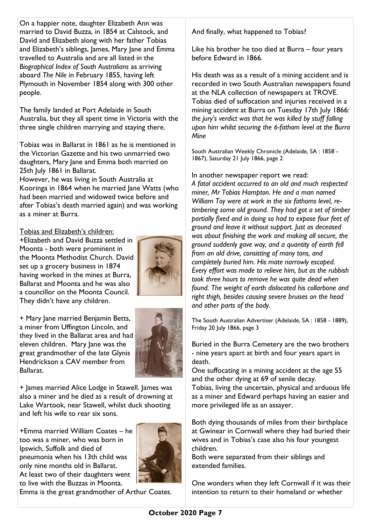On a happier note, daughter Elizabeth Ann was married to David Buzza, in 1854 at Calstock, and David and Elizabeth along with her father Tobias and Elizabeth's siblings, James, Mary Jane and Emma travelled to Australia and are all listed in the *Biographical Index of South Australians* as arriving aboard *The Nile* in February 1855, having left Plymouth in November 1854 along with 300 other people.

The family landed at Port Adelaide in South Australia, but they all spent time in Victoria with the three single children marrying and staying there.

Tobias was in Ballarat in 1861 as he is mentioned in the Victorian Gazette and his two unmarried two daughters, Mary Jane and Emma both married on 25th July 1861 in Ballarat.

However, he was living in South Australia at Kooringa in 1864 when he married lane Watts (who had been married and widowed twice before and after Tobias's death married again) and was working as a miner at Burra.

Tobias and Elizabeth's children:

+Elizabeth and David Buzza settled in Moonta - both were prominent in the Moonta Methodist Church. David set up a grocery business in 1874 having worked in the mines at Burra, Ballarat and Moonta and he was also a councillor on the Moonta Council. They didn't have any children.

+ Mary Jane married Benjamin Betts, a miner from Uffington Lincoln, and they lived in the Ballarat area and had eleven children. Mary Jane was the great grandmother of the late Glynis Hendrickson a CAV member from Ballarat.



+ James married Alice Lodge in Stawell. James was also a miner and he died as a result of drowning at Lake Wartook, near Stawell, whilst duck shooting and left his wife to rear six sons.

+Emma married William Coates – he too was a miner, who was born in Ipswich, Suffolk and died of pneumonia when his 13th child was only nine months old in Ballarat. At least two of their daughters went to live with the Buzzas in Moonta.



Emma is the great grandmother of Arthur Coates.

And finally, what happened to Tobias?

Like his brother he too died at Burra – four years before Edward in 1866.

His death was as a result of a mining accident and is recorded in two South Australian newspapers found at the NLA collection of newspapers at TROVE. Tobias died of suffocation and injuries received in a mining accident at Burra on Tuesday 17th July 1866: *the jury's verdict was that he was killed by stuff falling upon him whilst securing the 6-fathom level at the Burra Mine*

South Australian Weekly Chronicle (Adelaide, SA : 1858 - 1867), Saturday 21 July 1866, page 2

In another newspaper report we read: *A fatal accident occurred to an old and much respected miner, Mr Tobias Hampton. He and a man named William Toy were at work in the six fathoms level, retimbering some old ground. They had got a set of timber partially fixed and in doing so had to expose four feet of ground and leave it without support. Just as deceased was about finishing the work and making all secure, the ground suddenly gave way, and a quantity of earth fell from an old drive, consisting of many tons, and completely buried him. His mate narrowly escaped. Every effort was made to relieve him, but as the rubbish took three hours to remove he was quite dead when found. The weight of earth dislocated his collarbone and right thigh, besides causing severe bruises on the head and other parts of the body.* 

The South Australian Advertiser (Adelaide, SA : 1858 - 1889), Friday 20 July 1866, page 3

Buried in the Burra Cemetery are the two brothers - nine years apart at birth and four years apart in death.

One suffocating in a mining accident at the age 55 and the other dying at 69 of senile decay.

Tobias, living the uncertain, physical and arduous life as a miner and Edward perhaps having an easier and more privileged life as an assayer.

Both dying thousands of miles from their birthplace at Gwinear in Cornwall where they had buried their wives and in Tobias's case also his four youngest children.

Both were separated from their siblings and extended families.

One wonders when they left Cornwall if it was their intention to return to their homeland or whether